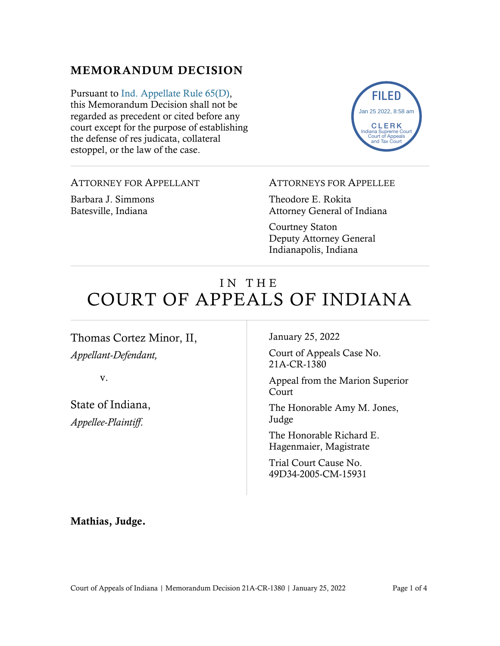## MEMORANDUM DECISION

Pursuant to [Ind. Appellate Rule 65\(D\),](https://www.westlaw.com/Document/N9F7F97E10B2B11EAB3BAC09E1BEAB78F/View/FullText.html?transitionType=Default&contextData=(sc.Default)&VR=3.0&RS=da3.0) this Memorandum Decision shall not be regarded as precedent or cited before any court except for the purpose of establishing the defense of res judicata, collateral estoppel, or the law of the case.



### ATTORNEY FOR APPELLANT

Barbara J. Simmons Batesville, Indiana

#### ATTORNEYS FOR APPELLEE

Theodore E. Rokita Attorney General of Indiana

Courtney Staton Deputy Attorney General Indianapolis, Indiana

# IN THE COURT OF APPEALS OF INDIANA

Thomas Cortez Minor, II, *Appellant-Defendant,*

v.

State of Indiana, *Appellee-Plaintiff*.

January 25, 2022

Court of Appeals Case No. 21A-CR-1380

Appeal from the Marion Superior Court

The Honorable Amy M. Jones, Judge

The Honorable Richard E. Hagenmaier, Magistrate

Trial Court Cause No. 49D34-2005-CM-15931

Mathias, Judge.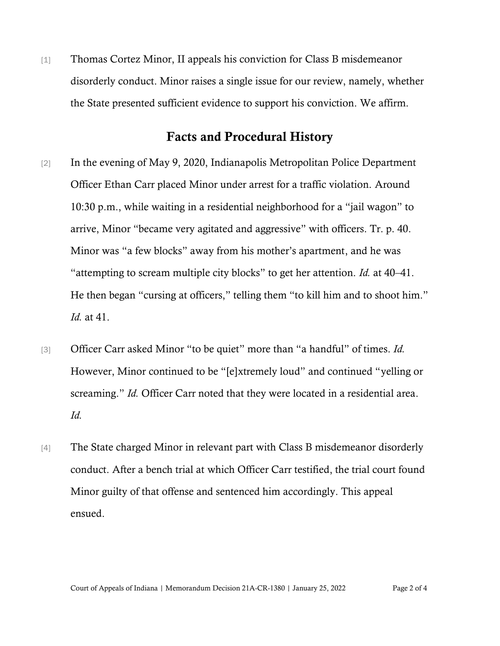[1] Thomas Cortez Minor, II appeals his conviction for Class B misdemeanor disorderly conduct. Minor raises a single issue for our review, namely, whether the State presented sufficient evidence to support his conviction. We affirm.

### Facts and Procedural History

- [2] In the evening of May 9, 2020, Indianapolis Metropolitan Police Department Officer Ethan Carr placed Minor under arrest for a traffic violation. Around 10:30 p.m., while waiting in a residential neighborhood for a "jail wagon" to arrive, Minor "became very agitated and aggressive" with officers. Tr. p. 40. Minor was "a few blocks" away from his mother's apartment, and he was "attempting to scream multiple city blocks" to get her attention. *Id.* at 40–41. He then began "cursing at officers," telling them "to kill him and to shoot him." *Id.* at 41.
- [3] Officer Carr asked Minor "to be quiet" more than "a handful" of times. *Id.* However, Minor continued to be "[e]xtremely loud" and continued "yelling or screaming." *Id.* Officer Carr noted that they were located in a residential area. *Id.*
- [4] The State charged Minor in relevant part with Class B misdemeanor disorderly conduct. After a bench trial at which Officer Carr testified, the trial court found Minor guilty of that offense and sentenced him accordingly. This appeal ensued.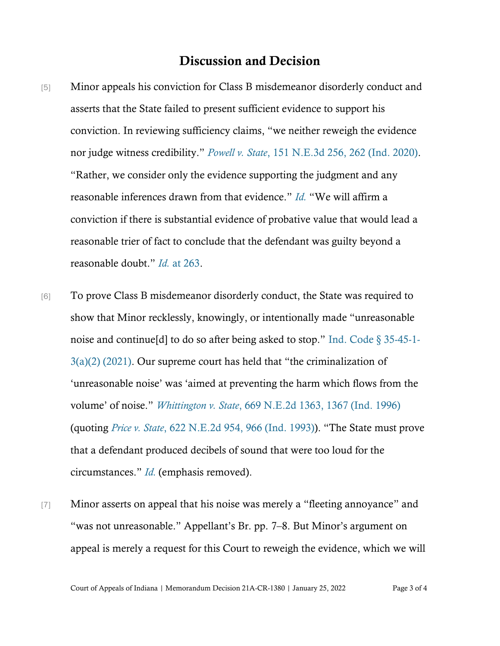## Discussion and Decision

- [5] Minor appeals his conviction for Class B misdemeanor disorderly conduct and asserts that the State failed to present sufficient evidence to support his conviction. In reviewing sufficiency claims, "we neither reweigh the evidence nor judge witness credibility." *[Powell v. State](https://www.westlaw.com/Document/Ia459ad70e1a711eaa13ca2bed92d37fc/View/FullText.html?transitionType=Default&contextData=(sc.Default)&VR=3.0&RS=da3.0&fragmentIdentifier=co_pp_sp_7902_262)*[, 151 N.E.3d 256, 262 \(Ind. 2020\).](https://www.westlaw.com/Document/Ia459ad70e1a711eaa13ca2bed92d37fc/View/FullText.html?transitionType=Default&contextData=(sc.Default)&VR=3.0&RS=da3.0&fragmentIdentifier=co_pp_sp_7902_262) "Rather, we consider only the evidence supporting the judgment and any reasonable inferences drawn from that evidence." *[Id.](https://www.westlaw.com/Document/Ia459ad70e1a711eaa13ca2bed92d37fc/View/FullText.html?transitionType=Default&contextData=(sc.Default)&VR=3.0&RS=da3.0)* "We will affirm a conviction if there is substantial evidence of probative value that would lead a reasonable trier of fact to conclude that the defendant was guilty beyond a reasonable doubt." *[Id.](https://www.westlaw.com/Document/Ia459ad70e1a711eaa13ca2bed92d37fc/View/FullText.html?transitionType=Default&contextData=(sc.Default)&VR=3.0&RS=da3.0&fragmentIdentifier=co_pp_sp_7902_263)* [at 263.](https://www.westlaw.com/Document/Ia459ad70e1a711eaa13ca2bed92d37fc/View/FullText.html?transitionType=Default&contextData=(sc.Default)&VR=3.0&RS=da3.0&fragmentIdentifier=co_pp_sp_7902_263)
- [6] To prove Class B misdemeanor disorderly conduct, the State was required to show that Minor recklessly, knowingly, or intentionally made "unreasonable noise and continue[d] to do so after being asked to stop." [Ind. Code § 35-45-1-](https://www.westlaw.com/Document/NF33F1641E28211E2B2838FF124B00174/View/FullText.html?transitionType=Default&contextData=(sc.Default)&VR=3.0&RS=da3.0) [3\(a\)\(2\) \(2021\).](https://www.westlaw.com/Document/NF33F1641E28211E2B2838FF124B00174/View/FullText.html?transitionType=Default&contextData=(sc.Default)&VR=3.0&RS=da3.0) Our supreme court has held that "the criminalization of 'unreasonable noise' was 'aimed at preventing the harm which flows from the volume' of noise." *[Whittington v. State](https://www.westlaw.com/Document/I4435b07cd3de11d9a489ee624f1f6e1a/View/FullText.html?transitionType=Default&contextData=(sc.Default)&VR=3.0&RS=da3.0&fragmentIdentifier=co_pp_sp_578_1367)*[, 669 N.E.2d 1363, 1367 \(Ind. 1996\)](https://www.westlaw.com/Document/I4435b07cd3de11d9a489ee624f1f6e1a/View/FullText.html?transitionType=Default&contextData=(sc.Default)&VR=3.0&RS=da3.0&fragmentIdentifier=co_pp_sp_578_1367) (quoting *[Price v. State](https://www.westlaw.com/Document/I4d4a38e3d3ed11d9a489ee624f1f6e1a/View/FullText.html?transitionType=Default&contextData=(sc.Default)&VR=3.0&RS=da3.0&fragmentIdentifier=co_pp_sp_578_966)*, 622 N[.E.2d 954, 966 \(Ind. 1993\)\)](https://www.westlaw.com/Document/I4d4a38e3d3ed11d9a489ee624f1f6e1a/View/FullText.html?transitionType=Default&contextData=(sc.Default)&VR=3.0&RS=da3.0&fragmentIdentifier=co_pp_sp_578_966). "The State must prove that a defendant produced decibels of sound that were too loud for the circumstances." *[Id.](https://www.westlaw.com/Document/I4435b07cd3de11d9a489ee624f1f6e1a/View/FullText.html?transitionType=Default&contextData=(sc.Default)&VR=3.0&RS=da3.0)* (emphasis removed).
- [7] Minor asserts on appeal that his noise was merely a "fleeting annoyance" and "was not unreasonable." Appellant's Br. pp. 7–8. But Minor's argument on appeal is merely a request for this Court to reweigh the evidence, which we will

Court of Appeals of Indiana | Memorandum Decision 21A-CR-1380 | January 25, 2022 Page 3 of 4